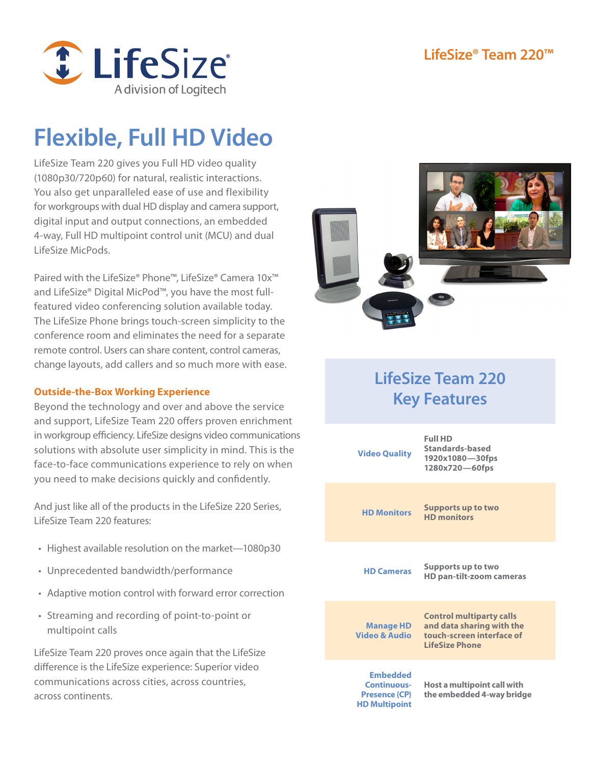

# **Flexible, Full HD Video**

LifeSize Team 220 gives you Full HD video quality (1080p30/720p60) for natural, realistic interactions. You also get unparalleled ease of use and flexibility for workgroups with dual HD display and camera support, digital input and output connections, an embedded 4-way, Full HD multipoint control unit (MCU) and dual LifeSize MicPods.

Paired with the LifeSize® Phone™, LifeSize® Camera 10x™ and LifeSize® Digital MicPod™, you have the most fullfeatured video conferencing solution available today. The LifeSize Phone brings touch-screen simplicity to the conference room and eliminates the need for a separate remote control. Users can share content, control cameras, change layouts, add callers and so much more with ease.

### **Outside-the-Box Working Experience**

Beyond the technology and over and above the service and support, LifeSize Team 220 offers proven enrichment in workgroup efficiency. LifeSize designs video communications solutions with absolute user simplicity in mind. This is the face-to-face communications experience to rely on when you need to make decisions quickly and confidently.

And just like all of the products in the LifeSize 220 Series, LifeSize Team 220 features:

- Highest available resolution on the market-1080p30
- • Unprecedented bandwidth/performance
- Adaptive motion control with forward error correction
- • Streaming and recording of point-to-point or multipoint calls

LifeSize Team 220 proves once again that the LifeSize difference is the LifeSize experience: Superior video communications across cities, across countries, across continents.



### **LifeSize Team 220 Key Features**

| <b>Video Quality</b>                                                                  | <b>Full HD</b><br>Standards-based<br>1920x1080-30fps<br>1280x720-60fps                                      |
|---------------------------------------------------------------------------------------|-------------------------------------------------------------------------------------------------------------|
| <b>HD Monitors</b>                                                                    | <b>Supports up to two</b><br><b>HD monitors</b>                                                             |
| <b>HD Cameras</b>                                                                     | Supports up to two<br>HD pan-tilt-zoom cameras                                                              |
| <b>Manage HD</b><br><b>Video &amp; Audio</b>                                          | <b>Control multiparty calls</b><br>and data sharing with the<br>touch-screen interface of<br>LifeSize Phone |
| <b>Embedded</b><br><b>Continuous-</b><br><b>Presence (CP)</b><br><b>HD Multipoint</b> | Host a multipoint call with<br>the embedded 4-way bridge                                                    |